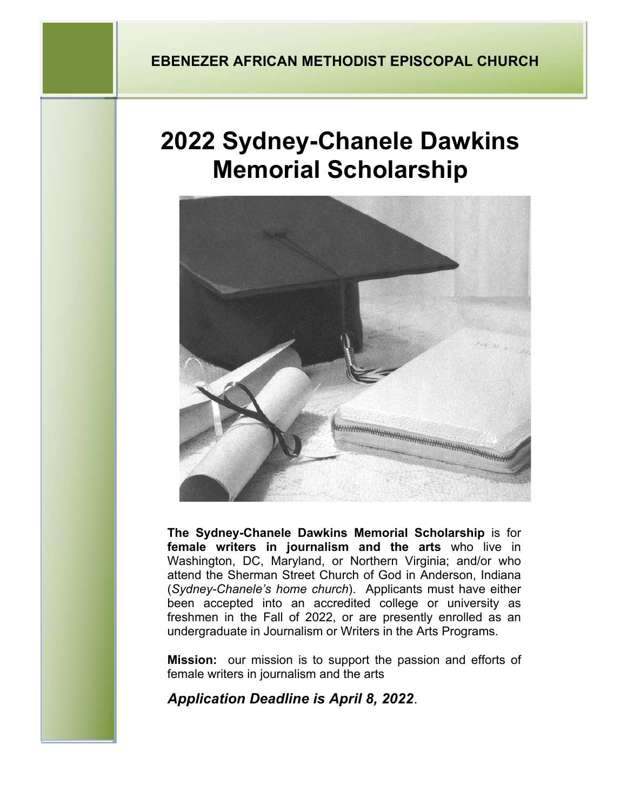## **2022 Sydney-Chanele Dawkins Memorial Scholarship**



**The Sydney-Chanele Dawkins Memorial Scholarship** is for **female writers in journalism and the arts** who live in Washington, DC, Maryland, or Northern Virginia; and/or who attend the Sherman Street Church of God in Anderson, Indiana (*Sydney-Chanele's home church*). Applicants must have either been accepted into an accredited college or university as freshmen in the Fall of 2022, or are presently enrolled as an undergraduate in Journalism or Writers in the Arts Programs.

**Mission:** our mission is to support the passion and efforts of female writers in journalism and the arts

*Application Deadline is April 8, 2022.*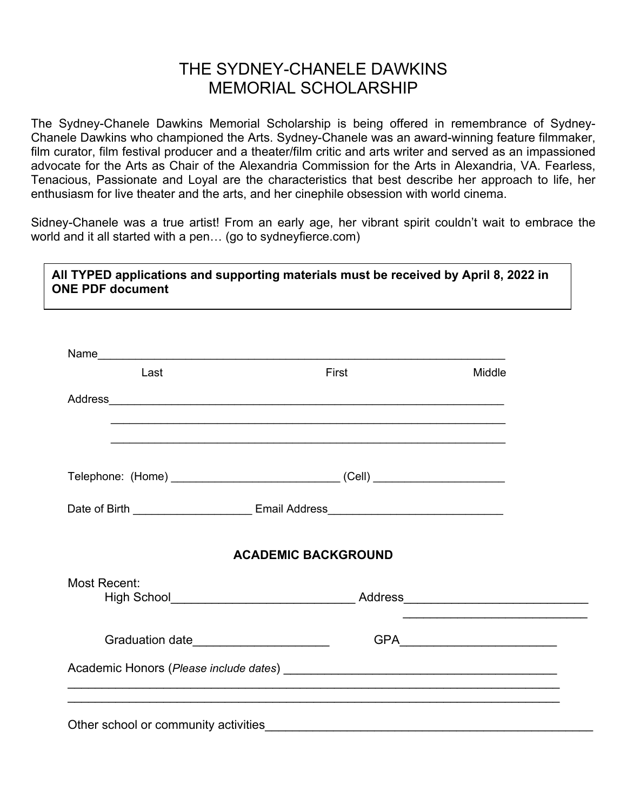## THE SYDNEY-CHANELE DAWKINS MEMORIAL SCHOLARSHIP

The Sydney-Chanele Dawkins Memorial Scholarship is being offered in remembrance of Sydney-Chanele Dawkins who championed the Arts. Sydney-Chanele was an award-winning feature filmmaker, film curator, film festival producer and a theater/film critic and arts writer and served as an impassioned advocate for the Arts as Chair of the Alexandria Commission for the Arts in Alexandria, VA. Fearless, Tenacious, Passionate and Loyal are the characteristics that best describe her approach to life, her enthusiasm for live theater and the arts, and her cinephile obsession with world cinema.

Sidney-Chanele was a true artist! From an early age, her vibrant spirit couldn't wait to embrace the world and it all started with a pen… (go to sydneyfierce.com)

**All TYPED applications and supporting materials must be received by April 8, 2022 in ONE PDF document**

| Last                | First                      | Middle                                                                                                                                                                                                                        |  |
|---------------------|----------------------------|-------------------------------------------------------------------------------------------------------------------------------------------------------------------------------------------------------------------------------|--|
|                     |                            |                                                                                                                                                                                                                               |  |
|                     |                            |                                                                                                                                                                                                                               |  |
|                     |                            |                                                                                                                                                                                                                               |  |
|                     | <b>ACADEMIC BACKGROUND</b> |                                                                                                                                                                                                                               |  |
| <b>Most Recent:</b> |                            | the control of the control of the control of the control of the control of the control of the control of the control of the control of the control of the control of the control of the control of the control of the control |  |
| Graduation date     |                            |                                                                                                                                                                                                                               |  |
|                     |                            |                                                                                                                                                                                                                               |  |
|                     |                            |                                                                                                                                                                                                                               |  |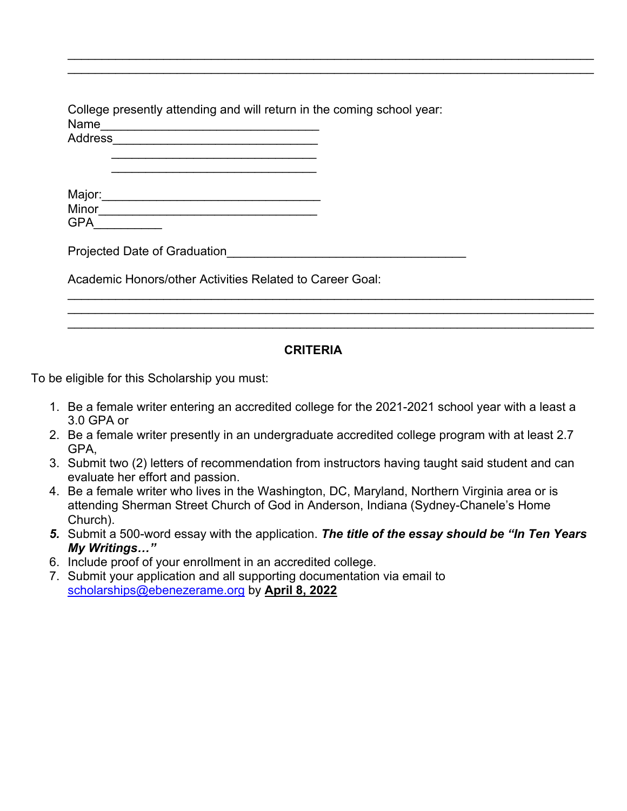| Address                                                  |  |  |  |
|----------------------------------------------------------|--|--|--|
|                                                          |  |  |  |
| <b>Minor</b>                                             |  |  |  |
| <b>GPA</b>                                               |  |  |  |
| Projected Date of Graduation <b>Example 2018</b>         |  |  |  |
| Academic Honors/other Activities Related to Career Goal: |  |  |  |

## **CRITERIA**

\_\_\_\_\_\_\_\_\_\_\_\_\_\_\_\_\_\_\_\_\_\_\_\_\_\_\_\_\_\_\_\_\_\_\_\_\_\_\_\_\_\_\_\_\_\_\_\_\_\_\_\_\_\_\_\_\_\_\_\_\_\_\_\_\_\_\_\_\_\_\_\_\_\_\_\_\_  $\mathcal{L}_\text{max} = \frac{1}{2} \sum_{i=1}^{n} \frac{1}{2} \sum_{i=1}^{n} \frac{1}{2} \sum_{i=1}^{n} \frac{1}{2} \sum_{i=1}^{n} \frac{1}{2} \sum_{i=1}^{n} \frac{1}{2} \sum_{i=1}^{n} \frac{1}{2} \sum_{i=1}^{n} \frac{1}{2} \sum_{i=1}^{n} \frac{1}{2} \sum_{i=1}^{n} \frac{1}{2} \sum_{i=1}^{n} \frac{1}{2} \sum_{i=1}^{n} \frac{1}{2} \sum_{i=1}^{n} \frac{1$ 

To be eligible for this Scholarship you must:

- 1. Be a female writer entering an accredited college for the 2021-2021 school year with a least a 3.0 GPA or
- 2. Be a female writer presently in an undergraduate accredited college program with at least 2.7 GPA,
- 3. Submit two (2) letters of recommendation from instructors having taught said student and can evaluate her effort and passion.
- 4. Be a female writer who lives in the Washington, DC, Maryland, Northern Virginia area or is attending Sherman Street Church of God in Anderson, Indiana (Sydney-Chanele's Home Church).
- *5.* Submit a 500-word essay with the application. *The title of the essay should be "In Ten Years My Writings…"*
- 6. Include proof of your enrollment in an accredited college.
- 7. Submit your application and all supporting documentation via email to scholarships@ebenezerame.org by **April 8, 2022**